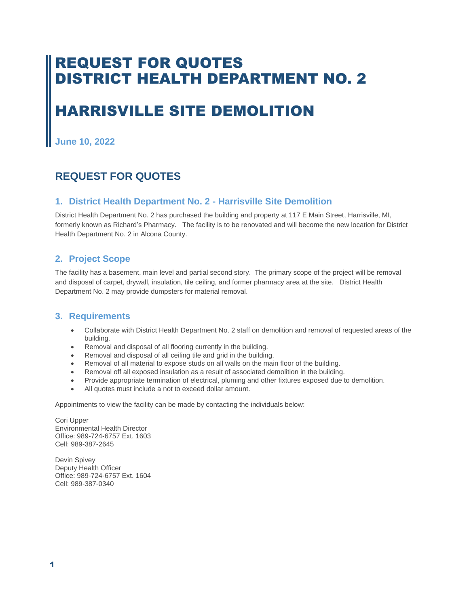## REQUEST FOR QUOTES DISTRICT HEALTH DEPARTMENT NO. 2

# HARRISVILLE SITE DEMOLITION

**June 10, 2022**

### **REQUEST FOR QUOTES**

#### **1. District Health Department No. 2 - Harrisville Site Demolition**

District Health Department No. 2 has purchased the building and property at 117 E Main Street, Harrisville, MI, formerly known as Richard's Pharmacy. The facility is to be renovated and will become the new location for District Health Department No. 2 in Alcona County.

#### **2. Project Scope**

The facility has a basement, main level and partial second story. The primary scope of the project will be removal and disposal of carpet, drywall, insulation, tile ceiling, and former pharmacy area at the site. District Health Department No. 2 may provide dumpsters for material removal.

#### **3. Requirements**

- Collaborate with District Health Department No. 2 staff on demolition and removal of requested areas of the building.
- Removal and disposal of all flooring currently in the building.
- Removal and disposal of all ceiling tile and grid in the building.
- Removal of all material to expose studs on all walls on the main floor of the building.
- Removal off all exposed insulation as a result of associated demolition in the building.
- Provide appropriate termination of electrical, pluming and other fixtures exposed due to demolition.
- All quotes must include a not to exceed dollar amount.

Appointments to view the facility can be made by contacting the individuals below:

Cori Upper Environmental Health Director Office: 989-724-6757 Ext. 1603 Cell: 989-387-2645

Devin Spivey Deputy Health Officer Office: 989-724-6757 Ext. 1604 Cell: 989-387-0340